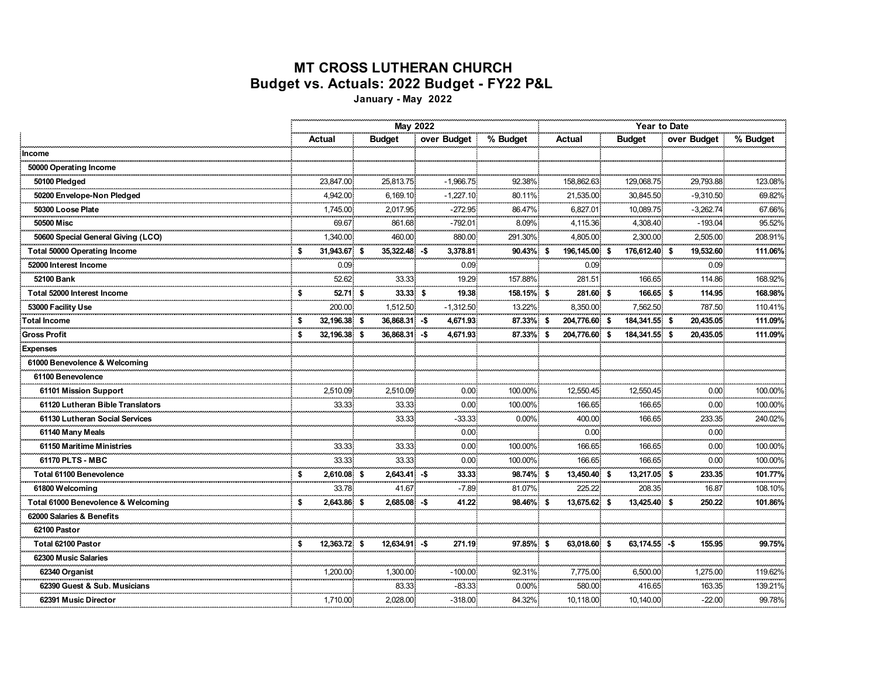## **MT CROSS LUTHERAN CHURCH Budget vs. Actuals: 2022 Budget - FY22 P&L**

**January - May 2022**

|                                     |                     | <b>May 2022</b>    |                        |                    | Year to Date      |                 |                     |                     |  |  |
|-------------------------------------|---------------------|--------------------|------------------------|--------------------|-------------------|-----------------|---------------------|---------------------|--|--|
|                                     | Actual              | <b>Budget</b>      | over Budget            | % Budget           | Actual            | <b>Budget</b>   | over Budget         | % Budget            |  |  |
| Income                              |                     |                    |                        |                    |                   |                 |                     |                     |  |  |
| 50000 Operating Income              |                     |                    |                        |                    |                   |                 |                     |                     |  |  |
| 50100 Pledaed                       | 23.847.00           | 25.813.75          | $-1.966.75$            | 92.38%             | 158.862.63        | 129.068.75      | 29.793.88           | 123.08%             |  |  |
| 50200 Envelope-Non Pledged          | 4,942.00            | 6,169.10           | $-1,227.10$            | 80.11%             | 21,535.00         | 30,845.50       | $-9,310.50$         | 69.82%              |  |  |
| 50300 Loose Plate                   | 1.745.00            | 2,017.95<br>ستتعمل | $-272.95$<br>aaaaaaaa  | 86.47%<br>للمستنبذ | 6.827.01          | 10.089.75<br>.  | $-3,262.74$         | 67.66%<br>.         |  |  |
| 50500 Misc                          | 69.67<br>           | 861.68<br>.        | $-792.01$<br>. 5       | 8.09%<br>.         | 4,115.36          | 4,308.40        | $-193.04$<br>.      | 95.52%<br>.         |  |  |
| 50600 Special General Giving (LCO)  | 1,340.00            | 460.00             | 880.00                 | 291.30%            | 4,805.00          | 2,300.00        | 2,505.00            | 208.91%             |  |  |
| <b>Total 50000 Operating Income</b> | 31,943.67 \$        | 35,322.48 -\$      | 3,378.81               | 90.43% \$          | 196,145.00 \$     | 176,612.40 \$   | 19,532.60           | 111.06%             |  |  |
| 52000 Interest Income               | 0.09                |                    | 0.09 <sub>1</sub>      | .                  | 0.09 <sub>1</sub> |                 | 0.09                | .                   |  |  |
| 52100 Bank                          | 52.62               | 33.33              | 19.29                  | 157.88%            | 281.51            | 166.65          | 114.86              | 168.92%<br>ananana. |  |  |
| Total 52000 Interest Income         | 52.71 \$<br>\$<br>. | 33.33 \$           | 19.38<br>.             | 158.15% \$         | 281.60 \$         | 166.65 \$       | 114.95<br>          | 168.98%             |  |  |
| 53000 Facility Use                  | 200.00              | 1,512.50           | $-1,312.50$            | 13.22%             | 8.350.00          | 7.562.50        | 787.50              | 110.41%             |  |  |
| <b>Total Income</b>                 | 32,196.38 \$        | 36,868.31 - \$     | 4,671.93               | 87.33% \$          | 204,776.60 \$     | 184,341.55 \$   | 20,435.05           | 111.09%             |  |  |
| <b>Gross Profit</b>                 | 32,196.38 \$        | 36,868.31 - \$     | 4,671.93               | 87.33% \$          | 204,776.60 \$     | 184,341.55 \$   | 20,435.05           | 111.09%             |  |  |
| <b>Expenses</b>                     |                     |                    |                        |                    |                   |                 |                     |                     |  |  |
| 61000 Benevolence & Welcoming       |                     |                    |                        |                    |                   |                 |                     |                     |  |  |
| 61100 Benevolence                   |                     |                    |                        |                    |                   |                 |                     |                     |  |  |
| 61101 Mission Support               | 2,510.09            | 2,510.09           | 0.00 <sub>1</sub><br>. | 100.00%            | 12,550.45         | 12,550.45       | 0.00                | 100.00%             |  |  |
| 61120 Lutheran Bible Translators    | 33.33               | 33.33              | 0.00                   | 100.00%            | 166.65            | 166.65          | 0.00                | 100.00%             |  |  |
| 61130 Lutheran Social Services      |                     | 33.33<br>          | $-33.33$               | $0.00\%$           | 400.00            | 166.65          | 233.35<br>فيستعيدون | 240.02%<br>         |  |  |
| 61140 Many Meals                    |                     |                    | 0.00 <sub>1</sub>      |                    | 0.00<br>. 8       | .               | 0.00 <sub>1</sub>   | .                   |  |  |
| 61150 Maritime Ministries           | 33.33               | 33.33              | 0.00 <sub>1</sub>      | 100.00%            | 166.65            | 166.65          | 0.00                | 100.00%             |  |  |
| 61170 PLTS - MBC                    | 33.33               | 33.33              | 0.00 <sub>1</sub>      | 100.00%:           | 166.65            | 166.65          | 0.00                | 100.00%             |  |  |
| Total 61100 Benevolence             | 2,610.08 \$<br>S    | $2,643.41 - $$     | 33.33                  | 98.74% \$          | 13,450.40 \$      | 13,217.05 \$    | 233.35              | 101.77%             |  |  |
| 61800 Welcomina                     | 33.78               | 41.67              | $-7.89$                | 81.07%             | 225.22            | 208.35          | 16.87               | 108.10%             |  |  |
| Total 61000 Benevolence & Welcoming | 2,643.86 \$         | $2,685.08 - $$     | 41.22                  | 98.46% \$          | 13,675.62 \$      | 13,425.40 \$    | 250.22              | 101.86%             |  |  |
| 62000 Salaries & Benefits           |                     |                    |                        |                    |                   |                 |                     |                     |  |  |
| 62100 Pastor                        |                     |                    |                        |                    |                   |                 |                     |                     |  |  |
| Total 62100 Pastor                  | 12,363.72 \$        | $12,634.91 - $$    | 271.19                 | 97.85% \$          | 63.018.60 \$      | $63,174.55 - $$ | 155.95              | 99.75%              |  |  |
| 62300 Music Salaries                |                     |                    |                        |                    |                   |                 |                     |                     |  |  |
| 62340 Organist                      | 1,200.00            | 1,300.00           | $-100.00$              | 92.31%             | 7,775.00          | 6,500.00        | 1,275.00            | 119.62%             |  |  |
| 62390 Guest & Sub. Musicians        |                     | 83.33              | $-83.33$               | $0.00\%$           | 580.00            | 416.65          | 163.35              | 139.21%             |  |  |
| 62391 Music Director                | 1,710.00            | 2,028.00           | $-318.00$              | 84.32%             | 10,118.00         | 10,140.00       | $-22.00$            | 99.78%              |  |  |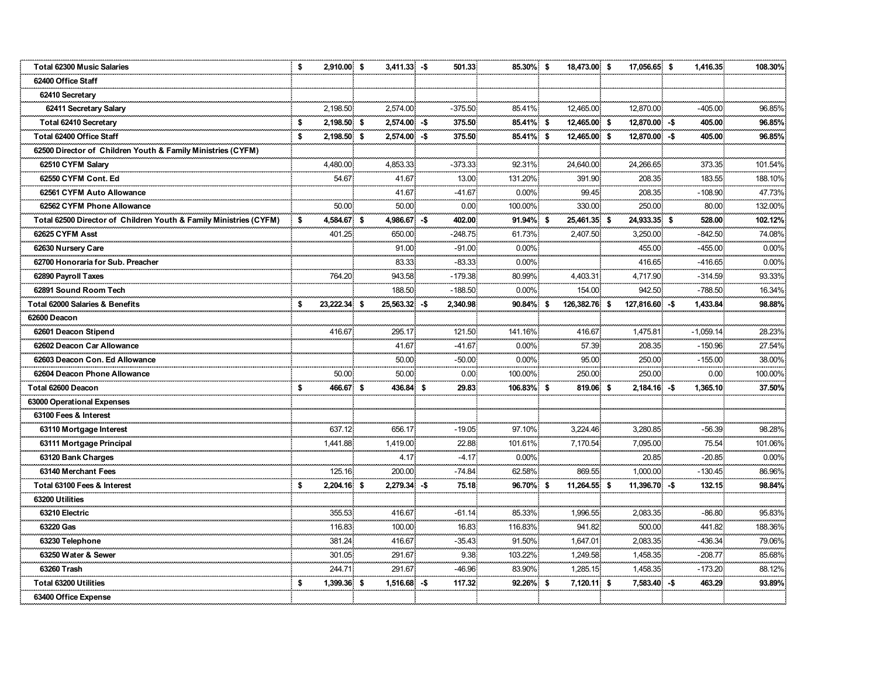| <b>Total 62300 Music Salaries</b>                                 | \$ | 2,910.00 \$  |      | $3,411.33 - $$ |     | 501.33                                    | 85.30% \$     | 18,473.00 \$  | 17,056.65 \$   | 1,416.35    | 108.30%    |
|-------------------------------------------------------------------|----|--------------|------|----------------|-----|-------------------------------------------|---------------|---------------|----------------|-------------|------------|
| 62400 Office Staff                                                |    |              |      |                |     |                                           |               |               |                |             |            |
| 62410 Secretary                                                   |    |              |      |                |     |                                           |               |               |                |             |            |
| 62411 Secretary Salary                                            |    | 2,198.50     |      | 2,574.00       |     | $-375.50$                                 | 85.41%        | 12,465.00     | 12,870.00      | $-405.00$   | 96.85%     |
| Total 62410 Secretary                                             | \$ | 2,198.50 \$  |      | $2,574.00 - $$ |     | 375.50                                    | 85.41% \$     | 12,465.00 \$  | 12,870.00 -\$  | 405.00      | 96.85%     |
| Total 62400 Office Staff                                          | \$ | 2,198.50 \$  |      | $2,574.00 - $$ |     | 375.50                                    | 85.41% \$     | 12,465.00 \$  | 12,870.00 -\$  | 405.00      | 96.85%     |
| 62500 Director of Children Youth & Family Ministries (CYFM)       |    |              |      |                |     |                                           |               |               |                |             |            |
| 62510 CYFM Salary                                                 |    | 4.480.00     |      | 4,853.33       |     | $-373.33$                                 | 92.31%        | 24,640.00     | 24,266.65      | 373.35      | 101.54%    |
| 62550 CYFM Cont. Ed                                               |    | 54.67        |      | 41.67          |     | 13.00                                     | 131.20%       | 391.90        | 208.35         | 183.55      | 188.10%    |
| 62561 CYFM Auto Allowance                                         |    |              |      | 41.67          |     | $-41.67$                                  | $0.00\%$      | 99.45         | 208.35         | $-108.90$   | 47.73%     |
| 62562 CYFM Phone Allowance                                        |    | 50.00        |      | 50.00          |     | 0.00                                      | 100.00%       | 330.00        | 250.00         | 80.00       | 132.00%    |
| Total 62500 Director of Children Youth & Family Ministries (CYFM) | \$ | 4,584.67     | - \$ | 4,986.67       | -\$ | 402.00                                    | 91.94% \$     | 25,461.35 \$  | 24,933.35 \$   | 528.00      | 102.12%    |
| 62625 CYFM Asst                                                   |    | 401.25       |      | 650.00         |     | $-248.75$                                 | 61.73%        | 2,407.50      | 3,250.00       | $-842.50$   | 74.08%     |
| 62630 Nursery Care                                                |    |              |      | 91.00          |     | $-91.00$                                  | $0.00\%$      |               | 455.00         | $-455.00$   | 0.00%      |
| 62700 Honoraria for Sub. Preacher                                 |    |              |      | 83.33<br>      |     | $-83.33$<br><b><i><u>ALLESSED</u></i></b> | $0.00\%$      |               | 416.65         | $-416.65$   | 0.00%<br>. |
| 62890 Payroll Taxes                                               |    | 764.20       |      | 943.58         |     | $-179.38$                                 | 80.99%        | 4.403.31      | 4,717.90       | $-314.59$   | 93.33%     |
| 62891 Sound Room Tech                                             |    |              |      | 188.50         |     | $-188.50$                                 | $0.00\%$      | 154.00        | 942.50         | $-788.50$   | 16.34%     |
| <b>Total 62000 Salaries &amp; Benefits</b>                        | \$ | 23.222.34 \$ |      | 25,563.32 -\$  |     | 2,340.98.                                 | 90.84% \$     | 126,382.76 \$ | 127,816.60 -\$ | 1,433.84    | 98.88%     |
| 62600 Deacon                                                      |    |              |      |                |     |                                           |               |               |                |             |            |
| 62601 Deacon Stipend                                              |    | 416.67       |      | 295.17         |     | 121.50                                    | 141.16%       | 416.67        | 1,475.81       | $-1,059.14$ | 28.23%     |
| 62602 Deacon Car Allowance                                        |    |              |      | 41.67          |     | -41.67                                    | $0.00\%$      | 57.39         | 208.35         | $-150.96$   | 27.54%     |
| 62603 Deacon Con. Ed Allowance                                    |    |              |      | 50.00<br>.     |     | $-50.00$<br>.                             | $0.00\%$<br>. | 95.00         | 250.00         | $-155.00$   | 38.00%     |
| 62604 Deacon Phone Allowance                                      |    | 50.00        |      | 50.00          |     | 0.00                                      | 100.00%       | 250.00        | 250.00         | 0.00        | 100.00%    |
| Total 62600 Deacon                                                | s  | 466.67 \$    |      | 436.84 \$      |     | 29.83                                     | 106.83% \$    | 819.06 \$     | $2,184.16 - $$ | 1,365.10    | 37.50%     |
| 63000 Operational Expenses                                        |    |              |      |                |     |                                           |               |               |                |             |            |
| 63100 Fees & Interest                                             |    |              |      |                |     |                                           |               |               |                |             |            |
| 63110 Mortgage Interest                                           |    | 637.12       |      | 656.17         |     | $-19.05$                                  | 97.10%        | 3,224.46.     | 3,280.85       | $-56.39$    | 98.28%     |
| 63111 Mortgage Principal                                          |    | 1,441.88     |      | 1,419.00       |     | 22.88                                     | 101.61%       | 7,170.54      | 7,095.00       | 75.54       | 101.06%    |
| 63120 Bank Charges                                                |    |              |      | 4.17           |     | $-4.17$                                   | $0.00\%$      |               | 20.85          | $-20.85$    | 0.00%      |
| 63140 Merchant Fees                                               |    | 125.16       |      | 200.00         |     | $-74.84$                                  | 62.58%        | 869.55        | 1,000.00       | $-130.45$   | 86.96%     |
| Total 63100 Fees & Interest                                       | \$ | 2,204.16 \$  |      | $2,279.34 - $$ |     | 75.18                                     | 96.70% \$     | 11,264.55 \$  | 11,396.70 -\$  | 132.15      | 98.84%     |
| 63200 Utilities                                                   |    |              |      |                |     |                                           |               |               |                |             |            |
| 63210 Electric                                                    |    | 355.53       |      | 416.67         |     | $-61.14$                                  | 85.33%        | 1.996.55      | 2.083.35       | $-86.80$    | 95.83%     |
| 63220 Gas                                                         |    | 116.83       |      | 100.00         |     | 16.83                                     | 116.83%       | 941.82        | 500.00         | 441.82      | 188.36%    |
| 63230 Telephone                                                   |    | 381.24       |      | 416.67         |     | $-35.43$                                  | 91.50%        | 1,647.01      | 2,083.35       | $-436.34$   | 79.06%     |
| 63250 Water & Sewer                                               |    | 301.05       |      | 291.67         |     | 9.38                                      | 103.22%       | 1,249.58      | 1,458.35       | $-208.77$   | 85.68%     |
| 63260 Trash                                                       |    | 244.71       |      | 291.67         |     | $-46.96$                                  | 83.90%        | 1,285.15      | 1.458.35       | $-173.20$   | 88.12%     |
| <b>Total 63200 Utilities</b>                                      |    | 1,399.36     | -\$  | 1,516.68       | -\$ | 117.32                                    | 92.26% \$     | $7,120.11$ \$ | $7,583.40 - $$ | 463.29      | 93.89%     |
| 63400 Office Expense                                              |    |              |      |                |     |                                           |               |               |                |             |            |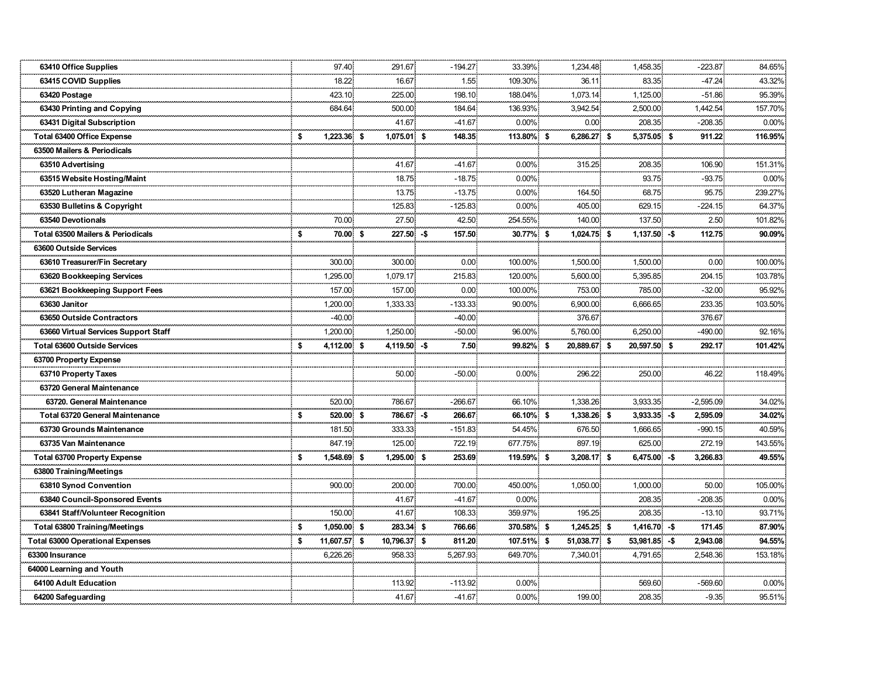| 63410 Office Supplies                   |    | 97.40        | 291.67        | $-194.27$ | 33.39%     | 1,234.48              | 1,458.35       | $-223.87$   | 84.65%      |
|-----------------------------------------|----|--------------|---------------|-----------|------------|-----------------------|----------------|-------------|-------------|
| 63415 COVID Supplies                    |    | 18.22        | 16.67         | 1.55      | 109.30%    | 36.11                 | 83.35          | $-47.24$    | 43.32%      |
| 63420 Postage                           |    | 423.10       | 225.00        | 198.10    | 188.04%    | 1,073.14              | 1,125.00       | $-51.86$    | 95.39%      |
| 63430 Printing and Copying              |    | 684.64       | 500.00        | 184.64    | 136.93%    | 3,942.54              | 2,500.00       | 1,442.54    | 157.70%     |
| 63431 Digital Subscription              |    |              | 41.67         | $-41.67$  | $0.00\%$   | 0.00                  | 208.35         | $-208.35$   | 0.00%       |
| <b>Total 63400 Office Expense</b>       | \$ | 1.223.36 \$  | $1.075.01$ \$ | 148.35    | 113.80% \$ | 6.286.27 \$           | 5.375.05 \$    | 911.22      | 116.95%     |
| 63500 Mailers & Periodicals             |    |              |               |           |            |                       |                |             |             |
| 63510 Advertising                       |    |              | 41.67         | $-41.67$  | $0.00\%$   | 315.25                | 208.35         | 106.90      | 151.31%     |
| 63515 Website Hosting/Maint             |    |              | 18.75         | $-18.75$  | 0.00%      |                       | 93.75          | $-93.75$    | 0.00%       |
| 63520 Lutheran Magazine                 |    |              | 13.75         | $-13.75$  | $0.00\%$   | 164.50                | 68.75          | 95.75       | 239.27%     |
| 63530 Bulletins & Copyright             |    |              | 125.83        | $-125.83$ | $0.00\%$   | 405.00                | 629.15         | $-224.15$   | 64.37%      |
| 63540 Devotionals                       |    | 70.00        | 27.50         | 42.50     | 254.55%    | 140.00                | 137.50         | 2.50        | 101.82%     |
| Total 63500 Mailers & Periodicals       | \$ | 70.00 \$     | 227.50 -\$    | 157.50    | 30.77% \$  | 1,024.75 \$           | $1,137.50 - $$ | 112.75      | 90.09%      |
| 63600 Outside Services                  |    |              |               |           |            |                       |                |             |             |
| 63610 Treasurer/Fin Secretary           |    | 300.00       | 300.00        | 0.00      | 100.00%    | 1,500.00              | 1,500.00       | 0.00        | 100.00%<br> |
| 63620 Bookkeeping Services              |    | 1,295.00     | 1,079.17      | 215.83    | 120.00%    | 5,600.00              | 5,395.85       | 204.15      | 103.78%     |
| 63621 Bookkeeping Support Fees          |    | 157.00       | 157.00        | 0.00.     | 100.00%    | 753.00                | 785.00         | $-32.00$    | 95.92%      |
| 63630 Janitor                           |    | 1,200.00     | 1,333.33      | $-133.33$ | 90.00%     | 6,900.00              | 6,666.65       | 233.35      | 103.50%     |
| 63650 Outside Contractors               |    | $-40.00$     |               | $-40.00$  |            | 376.67                |                | 376.67      |             |
| 63660 Virtual Services Support Staff    |    | 1,200.00     | 1,250.00      | $-50.00$  | 96.00%     | 5,760.00              | 6,250.00       | $-490.00$   | 92.16%      |
| <b>Total 63600 Outside Services</b>     |    | 4,112.00 \$  | 4,119.50 -\$  | 7.50      | 99.82% \$  | 20,889.67 \$          | 20,597.50 \$   | 292.17      | 101.42%     |
| 63700 Property Expense                  |    |              |               |           |            |                       |                |             |             |
| 63710 Property Taxes                    |    |              | 50.00         | $-50.00$  | $0.00\%$   | 296.22<br>----------- | 250.00         | 46.22       | 118.49%     |
| 63720 General Maintenance               |    |              |               |           |            |                       |                |             |             |
| 63720. General Maintenance              |    | 520.00       | 786.67        | $-266.67$ | 66.10%     | 1,338.26              | 3,933.35       | $-2,595.09$ | 34.02%      |
| <b>Total 63720 General Maintenance</b>  | \$ | 520.00 \$    | 786.67 - \$   | 266.67    | 66.10% \$  | 1,338.26 \$           | $3,933.35 - $$ | 2,595.09    | 34.02%      |
| 63730 Grounds Maintenance               |    | 181.50       | 333.33        | $-151.83$ | 54.45%     | 676.50                | 1,666.65       | $-990.15$   | 40.59%      |
| 63735 Van Maintenance                   |    | 847.19       | 125.00        | 722.19    | 677.75%    | 897.19                | 625.00         | 272.19      | 143.55%     |
| <b>Total 63700 Property Expense</b>     | \$ | 1,548.69 \$  | 1,295.00 \$   | 253.69    | 119.59% \$ | 3,208.17 \$           | $6,475.00 - $$ | 3,266.83    | 49.55%      |
| 63800 Training/Meetings                 |    |              |               |           |            |                       |                |             |             |
| 63810 Synod Convention                  |    | 900.00       | 200.00        | 700.00    | 450.00%    | 1,050.00              | 1,000.00       | 50.00       | 105.00%     |
| 63840 Council-Sponsored Events          |    |              | 41.67         | $-41.67$  | $0.00\%$   |                       | 208.35         | $-208.35$   | 0.00%       |
| 63841 Staff/Volunteer Recognition       |    | 150.00       | 41.67         | 108.33    | 359.97%    | 195.25                | 208.35         | $-13.10$    | 93.71%      |
| <b>Total 63800 Training/Meetings</b>    | S  | 1,050.00 \$  | 283.34 \$     | 766.66    | 370.58% \$ | 1,245.25 \$           | $1,416.70 - $$ | 171.45      | 87.90%      |
| <b>Total 63000 Operational Expenses</b> | \$ | 11,607.57 \$ | 10,796.37 \$  | 811.20    | 107.51% \$ | 51,038.77 \$          | 53,981.85 -\$  | 2,943.08    | 94.55%      |
| 63300 Insurance                         |    | 6,226.26     | 958.33        | 5,267.93  | 649.70%    | 7,340.01              | 4,791.65       | 2,548.36    | 153.18%     |
| 64000 Learning and Youth                |    |              |               |           |            |                       |                |             |             |
| 64100 Adult Education                   |    |              | 113.92        | $-113.92$ | $0.00\%$   |                       | 569.60         | $-569.60$   | 0.00%       |
| 64200 Safeguarding                      |    |              |               |           |            |                       |                |             |             |